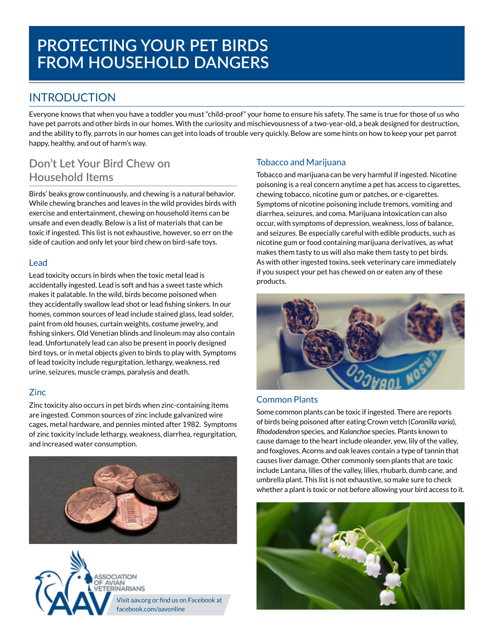### INTRODUCTION

Everyone knows that when you have a toddler you must "child-proof" your home to ensure his safety. The same is true for those of us who have pet parrots and other birds in our homes. With the curiosity and mischievousness of a two-year-old, a beak designed for destruction, and the ability to fly, parrots in our homes can get into loads of trouble very quickly. Below are some hints on how to keep your pet parrot happy, healthy, and out of harm's way.

## **Don't Let Your Bird Chew on Household Items**

Birds' beaks grow continuously, and chewing is a natural behavior. While chewing branches and leaves in the wild provides birds with exercise and entertainment, chewing on household items can be unsafe and even deadly. Below is a list of materials that can be toxic if ingested. This list is not exhaustive, however, so err on the side of caution and only let your bird chew on bird-safe toys.

#### Lead

Lead toxicity occurs in birds when the toxic metal lead is accidentally ingested. Lead is soft and has a sweet taste which makes it palatable. In the wild, birds become poisoned when they accidentally swallow lead shot or lead fishing sinkers. In our homes, common sources of lead include stained glass, lead solder, paint from old houses, curtain weights, costume jewelry, and fishing sinkers. Old Venetian blinds and linoleum may also contain lead. Unfortunately lead can also be present in poorly designed bird toys, or in metal objects given to birds to play with. Symptoms of lead toxicity include regurgitation, lethargy, weakness, red urine, seizures, muscle cramps, paralysis and death.

### Zinc

Zinc toxicity also occurs in pet birds when zinc-containing items are ingested. Common sources of zinc include galvanized wire cages, metal hardware, and pennies minted after 1982. Symptoms of zinc toxicity include lethargy, weakness, diarrhea, regurgitation, and increased water consumption.





### Tobacco and Marijuana

Tobacco and marijuana can be very harmful if ingested. Nicotine poisoning is a real concern anytime a pet has access to cigarettes, chewing tobacco, nicotine gum or patches, or e-cigarettes. Symptoms of nicotine poisoning include tremors, vomiting and diarrhea, seizures, and coma. Marijuana intoxication can also occur, with symptoms of depression, weakness, loss of balance, and seizures. Be especially careful with edible products, such as nicotine gum or food containing marijuana derivatives, as what makes them tasty to us will also make them tasty to pet birds. As with other ingested toxins, seek veterinary care immediately if you suspect your pet has chewed on or eaten any of these products.



#### Common Plants

Some common plants can be toxic if ingested. There are reports of birds being poisoned after eating Crown vetch (*Coronilla varia*), *Rhododendron* species, and *Kalanchoe* species. Plants known to cause damage to the heart include oleander, yew, lily of the valley, and foxgloves. Acorns and oak leaves contain a type of tannin that causes liver damage. Other commonly seen plants that are toxic include Lantana, lilies of the valley, lilies, rhubarb, dumb cane, and umbrella plant. This list is not exhaustive, so make sure to check whether a plant is toxic or not before allowing your bird access to it.

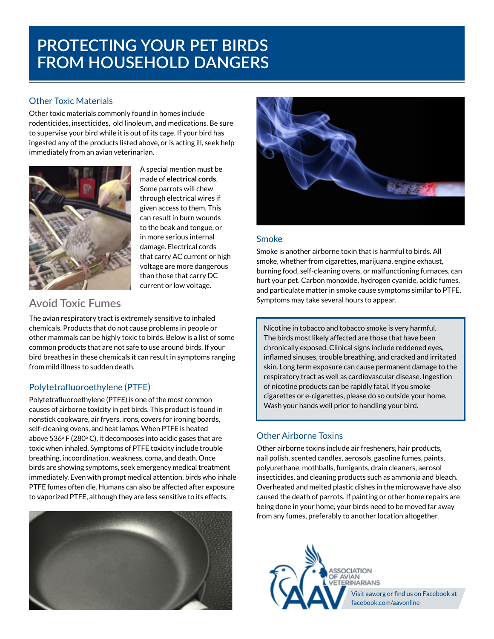#### Other Toxic Materials

Other toxic materials commonly found in homes include rodenticides, insecticides, old linoleum, and medications. Be sure to supervise your bird while it is out of its cage. If your bird has ingested any of the products listed above, or is acting ill, seek help immediately from an avian veterinarian.



A special mention must be made of **electrical cords**. Some parrots will chew through electrical wires if given access to them. This can result in burn wounds to the beak and tongue, or in more serious internal damage. Electrical cords that carry AC current or high voltage are more dangerous than those that carry DC current or low voltage.

## **Avoid Toxic Fumes**

The avian respiratory tract is extremely sensitive to inhaled chemicals. Products that do not cause problems in people or other mammals can be highly toxic to birds. Below is a list of some common products that are not safe to use around birds. If your bird breathes in these chemicals it can result in symptoms ranging from mild illness to sudden death.

#### Polytetrafluoroethylene (PTFE)

Polytetrafluoroethylene (PTFE) is one of the most common causes of airborne toxicity in pet birds. This product is found in nonstick cookware, air fryers, irons, covers for ironing boards, self-cleaning ovens, and heat lamps. When PTFE is heated above 536° F (280° C), it decomposes into acidic gases that are toxic when inhaled. Symptoms of PTFE toxicity include trouble breathing, incoordination, weakness, coma, and death. Once birds are showing symptoms, seek emergency medical treatment immediately. Even with prompt medical attention, birds who inhale PTFE fumes often die. Humans can also be affected after exposure to vaporized PTFE, although they are less sensitive to its effects.





#### Smoke

Smoke is another airborne toxin that is harmful to birds. All smoke, whether from cigarettes, marijuana, engine exhaust, burning food, self-cleaning ovens, or malfunctioning furnaces, can hurt your pet. Carbon monoxide, hydrogen cyanide, acidic fumes, and particulate matter in smoke cause symptoms similar to PTFE. Symptoms may take several hours to appear.

Nicotine in tobacco and tobacco smoke is very harmful. The birds most likely affected are those that have been chronically exposed. Clinical signs include reddened eyes, inflamed sinuses, trouble breathing, and cracked and irritated skin. Long term exposure can cause permanent damage to the respiratory tract as well as cardiovascular disease. Ingestion of nicotine products can be rapidly fatal. If you smoke cigarettes or e-cigarettes, please do so outside your home. Wash your hands well prior to handling your bird.

#### Other Airborne Toxins

Other airborne toxins include air fresheners, hair products, nail polish, scented candles, aerosols, gasoline fumes, paints, polyurethane, mothballs, fumigants, drain cleaners, aerosol insecticides, and cleaning products such as ammonia and bleach. Overheated and melted plastic dishes in the microwave have also caused the death of parrots. If painting or other home repairs are being done in your home, your birds need to be moved far away from any fumes, preferably to another location altogether.



Visit aav.org or find us on Facebook at facebook.com/aavonline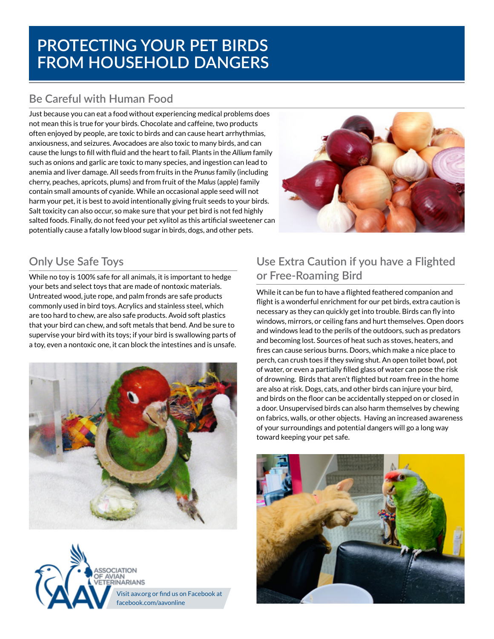# **Be Careful with Human Food**

Just because you can eat a food without experiencing medical problems does not mean this is true for your birds. Chocolate and caffeine, two products often enjoyed by people, are toxic to birds and can cause heart arrhythmias, anxiousness, and seizures. Avocadoes are also toxic to many birds, and can cause the lungs to fill with fluid and the heart to fail. Plants in the *Allium* family such as onions and garlic are toxic to many species, and ingestion can lead to anemia and liver damage. All seeds from fruits in the *Prunus* family (including cherry, peaches, apricots, plums) and from fruit of the *Malus* (apple) family contain small amounts of cyanide. While an occasional apple seed will not harm your pet, it is best to avoid intentionally giving fruit seeds to your birds. Salt toxicity can also occur, so make sure that your pet bird is not fed highly salted foods. Finally, do not feed your pet xylitol as this artificial sweetener can potentially cause a fatally low blood sugar in birds, dogs, and other pets.



## **Only Use Safe Toys**

While no toy is 100% safe for all animals, it is important to hedge your bets and select toys that are made of nontoxic materials. Untreated wood, jute rope, and palm fronds are safe products commonly used in bird toys. Acrylics and stainless steel, which are too hard to chew, are also safe products. Avoid soft plastics that your bird can chew, and soft metals that bend. And be sure to supervise your bird with its toys; if your bird is swallowing parts of a toy, even a nontoxic one, it can block the intestines and is unsafe.





# **Use Extra Caution if you have a Flighted or Free-Roaming Bird**

While it can be fun to have a flighted feathered companion and flight is a wonderful enrichment for our pet birds, extra caution is necessary as they can quickly get into trouble. Birds can fly into windows, mirrors, or ceiling fans and hurt themselves. Open doors and windows lead to the perils of the outdoors, such as predators and becoming lost. Sources of heat such as stoves, heaters, and fires can cause serious burns. Doors, which make a nice place to perch, can crush toes if they swing shut. An open toilet bowl, pot of water, or even a partially filled glass of water can pose the risk of drowning. Birds that aren't flighted but roam free in the home are also at risk. Dogs, cats, and other birds can injure your bird, and birds on the floor can be accidentally stepped on or closed in a door. Unsupervised birds can also harm themselves by chewing on fabrics, walls, or other objects. Having an increased awareness of your surroundings and potential dangers will go a long way toward keeping your pet safe.